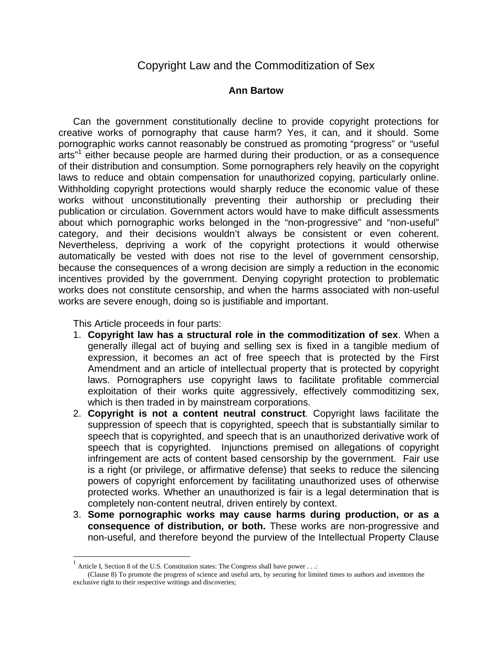## Copyright Law and the Commoditization of Sex

## **Ann Bartow**

Can the government constitutionally decline to provide copyright protections for creative works of pornography that cause harm? Yes, it can, and it should. Some pornographic works cannot reasonably be construed as promoting "progress" or "useful arts"<sup>1</sup> either because people are harmed during their production, or as a consequence of their distribution and consumption. Some pornographers rely heavily on the copyright laws to reduce and obtain compensation for unauthorized copying, particularly online. Withholding copyright protections would sharply reduce the economic value of these works without unconstitutionally preventing their authorship or precluding their publication or circulation. Government actors would have to make difficult assessments about which pornographic works belonged in the "non-progressive" and "non-useful" category, and their decisions wouldn't always be consistent or even coherent. Nevertheless, depriving a work of the copyright protections it would otherwise automatically be vested with does not rise to the level of government censorship, because the consequences of a wrong decision are simply a reduction in the economic incentives provided by the government. Denying copyright protection to problematic works does not constitute censorship, and when the harms associated with non-useful works are severe enough, doing so is justifiable and important.

This Article proceeds in four parts:

 $\overline{a}$ 

- 1. **Copyright law has a structural role in the commoditization of sex**. When a generally illegal act of buying and selling sex is fixed in a tangible medium of expression, it becomes an act of free speech that is protected by the First Amendment and an article of intellectual property that is protected by copyright laws. Pornographers use copyright laws to facilitate profitable commercial exploitation of their works quite aggressively, effectively commoditizing sex, which is then traded in by mainstream corporations.
- 2. **Copyright is not a content neutral construct**. Copyright laws facilitate the suppression of speech that is copyrighted, speech that is substantially similar to speech that is copyrighted, and speech that is an unauthorized derivative work of speech that is copyrighted. Injunctions premised on allegations of copyright infringement are acts of content based censorship by the government. Fair use is a right (or privilege, or affirmative defense) that seeks to reduce the silencing powers of copyright enforcement by facilitating unauthorized uses of otherwise protected works. Whether an unauthorized is fair is a legal determination that is completely non-content neutral, driven entirely by context.
- 3. **Some pornographic works may cause harms during production, or as a consequence of distribution, or both.** These works are non-progressive and non-useful, and therefore beyond the purview of the Intellectual Property Clause

<sup>1</sup> Article I, Section 8 of the U.S. Constitution states: The Congress shall have power . . .:

<sup>(</sup>Clause 8) To promote the progress of science and useful arts, by securing for limited times to authors and inventors the exclusive right to their respective writings and discoveries;